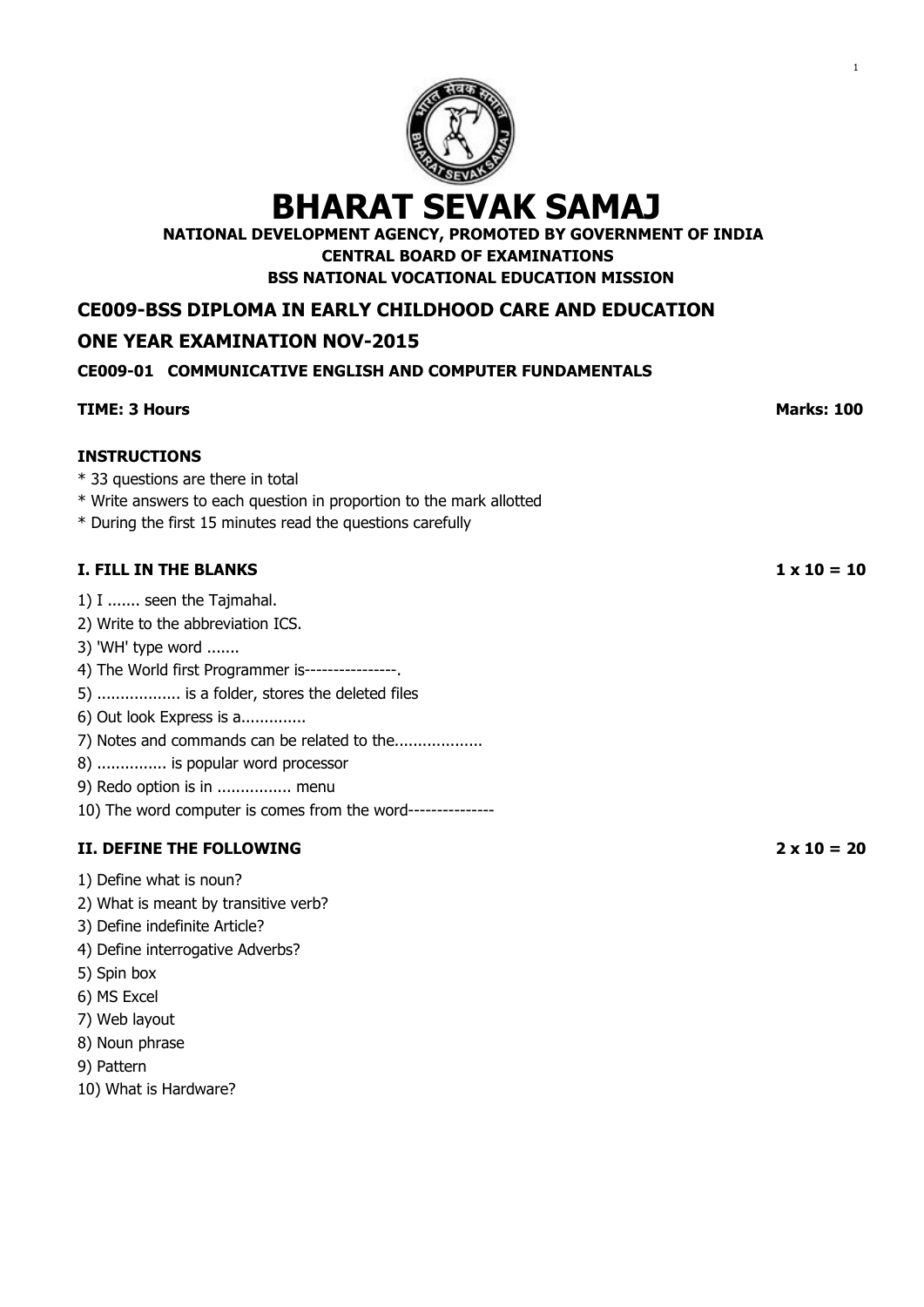

**NATIONAL DEVELOPMENT AGENCY, PROMOTED BY GOVERNMENT OF INDIA**

**CENTRAL BOARD OF EXAMINATIONS**

**BSS NATIONAL VOCATIONAL EDUCATION MISSION**

**CE009-BSS DIPLOMA IN EARLY CHILDHOOD CARE AND EDUCATION**

# **ONE YEAR EXAMINATION NOV-2015**

# **CE009-01 COMMUNICATIVE ENGLISH AND COMPUTER FUNDAMENTALS**

# **TIME: 3 Hours Marks: 100 INSTRUCTIONS** \* 33 questions are there in total \* Write answers to each question in proportion to the mark allotted \* During the first 15 minutes read the questions carefully **I. FILL IN THE BLANKS 1 x 10 = 10** 1) I ....... seen the Tajmahal. 2) Write to the abbreviation ICS. 3) 'WH' type word ....... 4) The World first Programmer is----------------. 5) .................. is a folder, stores the deleted files 6) Out look Express is a.............. 7) Notes and commands can be related to the................... 8) ............... is popular word processor 9) Redo option is in ................ menu 10) The word computer is comes from the word--------------- **II. DEFINE THE FOLLOWING 2 x 10 = 20** 1) Define what is noun? 2) What is meant by transitive verb? 3) Define indefinite Article? 4) Define interrogative Adverbs? 5) Spin box 6) MS Excel 7) Web layout

- 8) Noun phrase
- 9) Pattern
- 10) What is Hardware?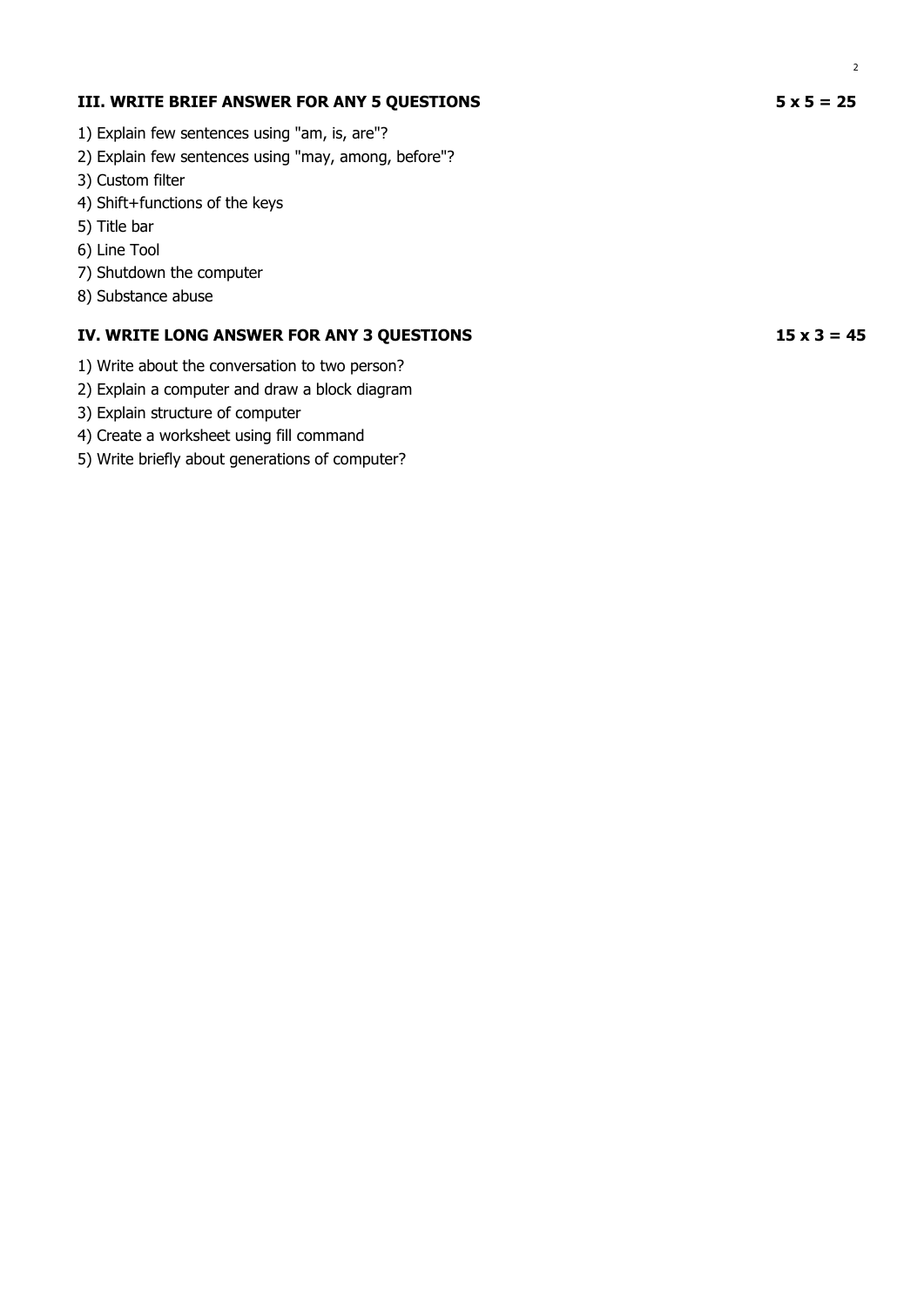- 1) Explain few sentences using "am, is, are"?
- 2) Explain few sentences using "may, among, before"?
- 3) Custom filter
- 4) Shift+functions of the keys
- 5) Title bar
- 6) Line Tool
- 7) Shutdown the computer
- 8) Substance abuse

- 1) Write about the conversation to two person?
- 2) Explain a computer and draw a block diagram
- 3) Explain structure of computer
- 4) Create a worksheet using fill command
- 5) Write briefly about generations of computer?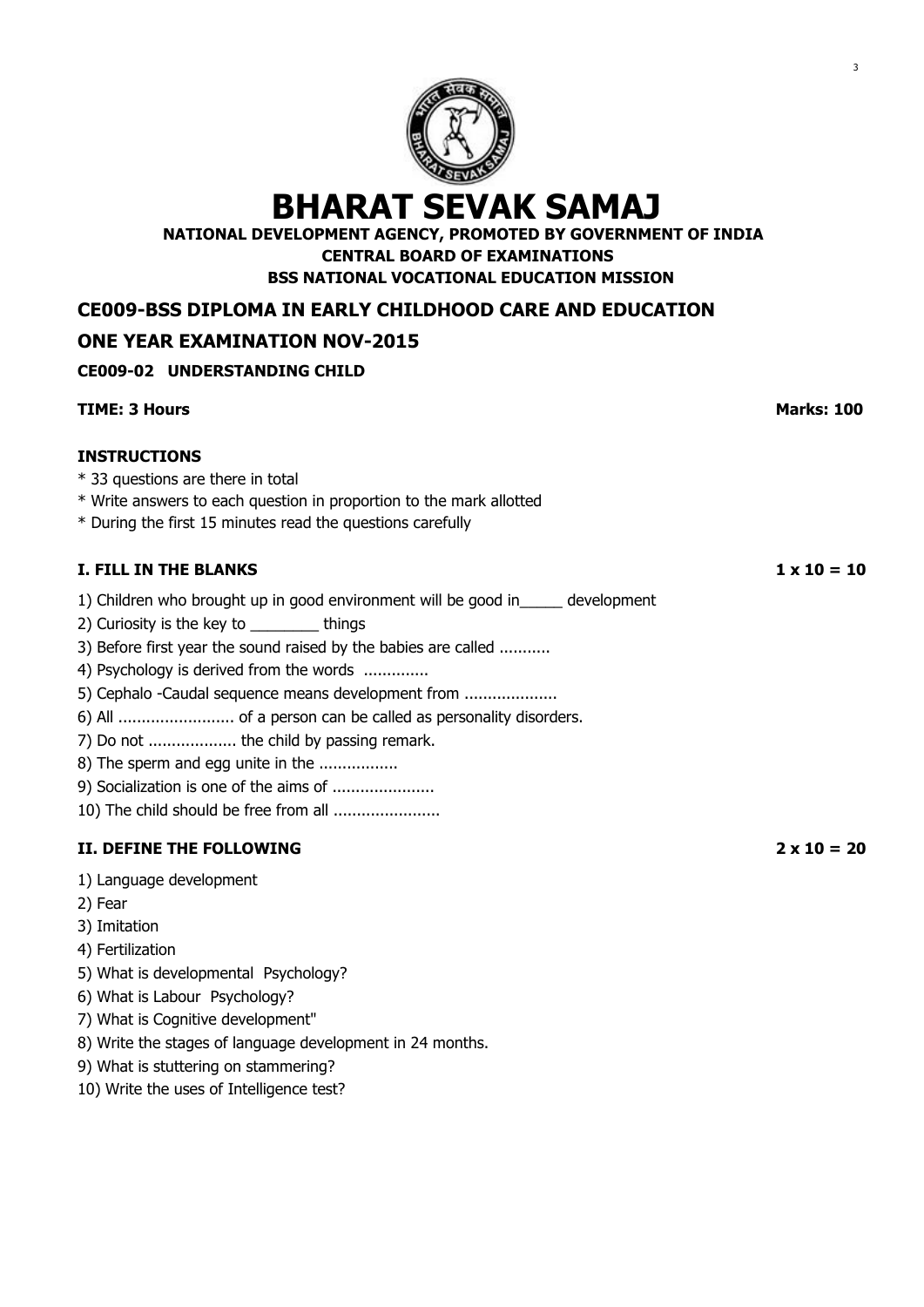

**NATIONAL DEVELOPMENT AGENCY, PROMOTED BY GOVERNMENT OF INDIA CENTRAL BOARD OF EXAMINATIONS**

**BSS NATIONAL VOCATIONAL EDUCATION MISSION**

**CE009-BSS DIPLOMA IN EARLY CHILDHOOD CARE AND EDUCATION**

# **ONE YEAR EXAMINATION NOV-2015**

## **CE009-02 UNDERSTANDING CHILD**

| <b>TIME: 3 Hours</b>                                                                                                                                                                                                                                                                                                                                                                                                          | <b>Marks: 100</b>  |
|-------------------------------------------------------------------------------------------------------------------------------------------------------------------------------------------------------------------------------------------------------------------------------------------------------------------------------------------------------------------------------------------------------------------------------|--------------------|
| <b>INSTRUCTIONS</b><br>* 33 questions are there in total<br>* Write answers to each question in proportion to the mark allotted<br>* During the first 15 minutes read the questions carefully                                                                                                                                                                                                                                 |                    |
| <b>I. FILL IN THE BLANKS</b>                                                                                                                                                                                                                                                                                                                                                                                                  | $1 \times 10 = 10$ |
| 1) Children who brought up in good environment will be good in ______ development<br>2) Curiosity is the key to __________ things<br>3) Before first year the sound raised by the babies are called<br>4) Psychology is derived from the words<br>5) Cephalo -Caudal sequence means development from<br>7) Do not  the child by passing remark.<br>8) The sperm and egg unite in the<br>10) The child should be free from all |                    |
| II. DEFINE THE FOLLOWING                                                                                                                                                                                                                                                                                                                                                                                                      | $2 \times 10 = 20$ |
| 1) Language development<br>2) Fear<br>3) Imitation<br>4) Fertilization<br>5) What is developmental Psychology?<br>6) What is Labour Psychology?<br>7) What is Cognitive development"<br>8) Write the stages of language development in 24 months.<br>9) What is stuttering on stammering?                                                                                                                                     |                    |

10) Write the uses of Intelligence test?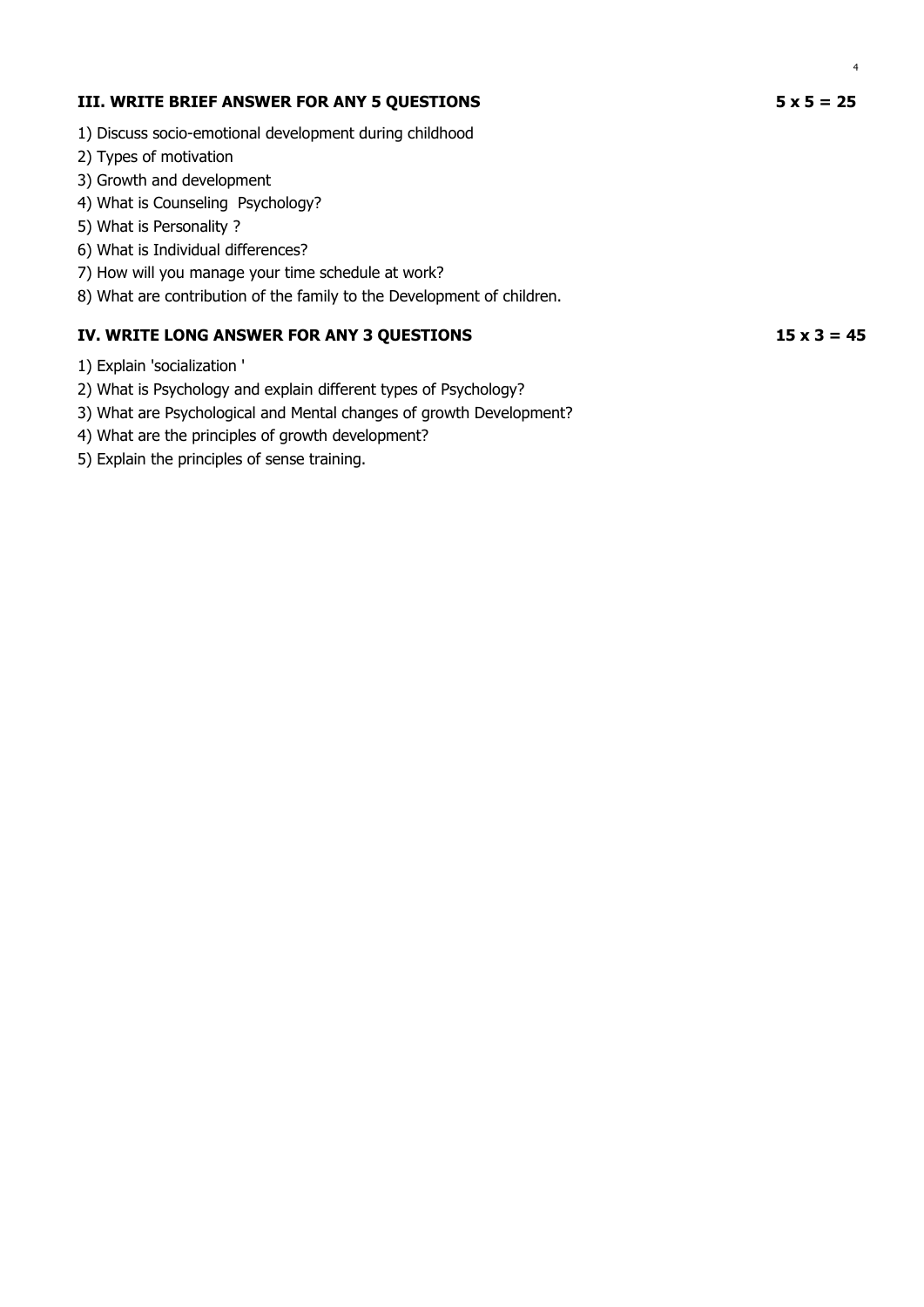- 1) Discuss socio-emotional development during childhood
- 2) Types of motivation
- 3) Growth and development
- 4) What is Counseling Psychology?
- 5) What is Personality ?
- 6) What is Individual differences?
- 7) How will you manage your time schedule at work?
- 8) What are contribution of the family to the Development of children.

- 1) Explain 'socialization '
- 2) What is Psychology and explain different types of Psychology?
- 3) What are Psychological and Mental changes of growth Development?
- 4) What are the principles of growth development?
- 5) Explain the principles of sense training.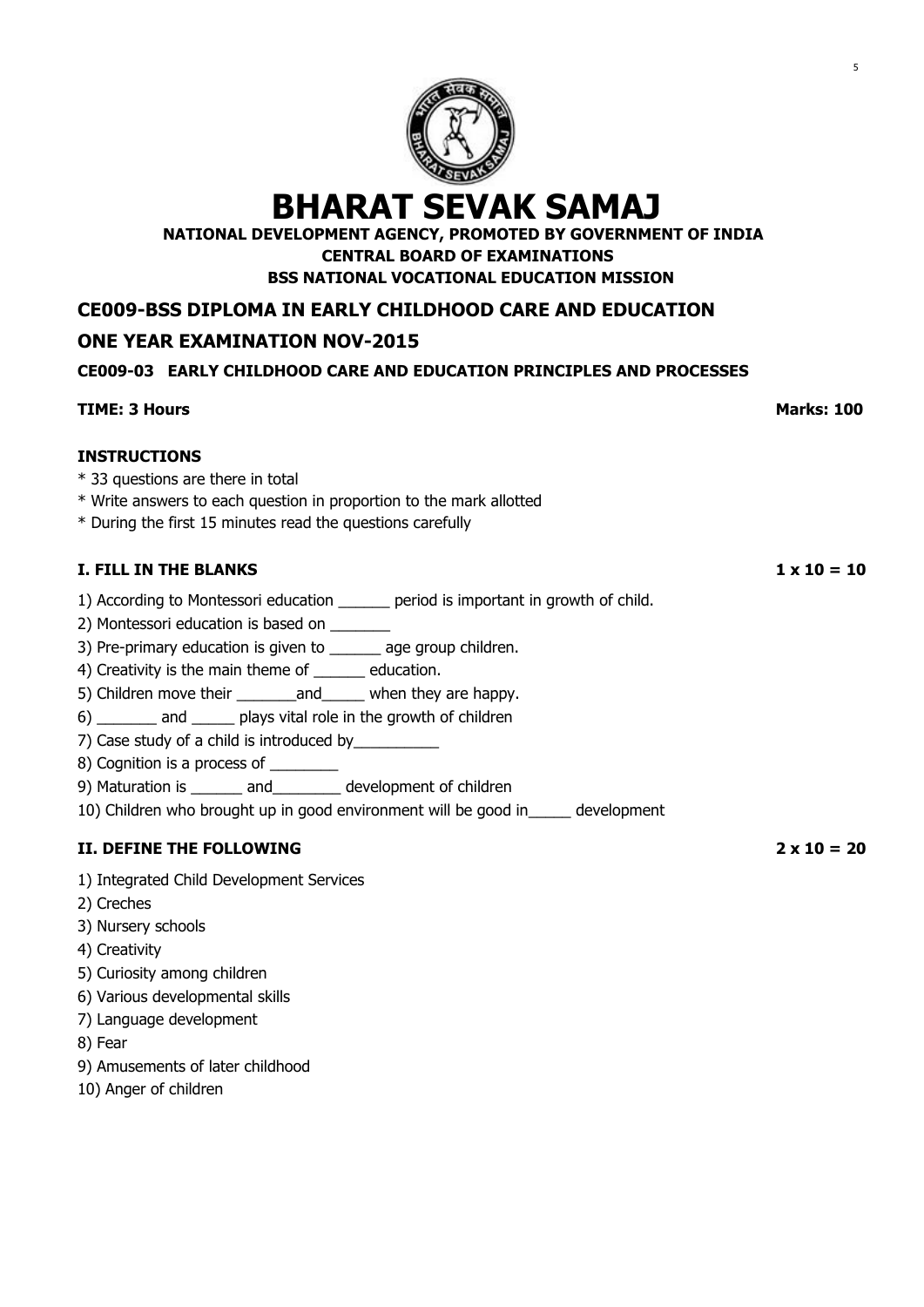

**NATIONAL DEVELOPMENT AGENCY, PROMOTED BY GOVERNMENT OF INDIA**

**CENTRAL BOARD OF EXAMINATIONS**

**BSS NATIONAL VOCATIONAL EDUCATION MISSION**

**CE009-BSS DIPLOMA IN EARLY CHILDHOOD CARE AND EDUCATION**

# **ONE YEAR EXAMINATION NOV-2015**

## **CE009-03 EARLY CHILDHOOD CARE AND EDUCATION PRINCIPLES AND PROCESSES**

# **TIME: 3 Hours Marks: 100 INSTRUCTIONS** \* 33 questions are there in total \* Write answers to each question in proportion to the mark allotted \* During the first 15 minutes read the questions carefully **I. FILL IN THE BLANKS 1 x 10 = 10** 1) According to Montessori education \_\_\_\_\_\_ period is important in growth of child. 2) Montessori education is based on 3) Pre-primary education is given to \_\_\_\_\_\_ age group children. 4) Creativity is the main theme of \_\_\_\_\_\_ education. 5) Children move their and when they are happy. 6) \_\_\_\_\_\_\_ and \_\_\_\_\_ plays vital role in the growth of children 7) Case study of a child is introduced by 8) Cognition is a process of \_\_\_\_\_\_\_\_\_ 9) Maturation is \_\_\_\_\_\_ and \_\_\_\_\_\_\_ development of children 10) Children who brought up in good environment will be good in\_\_\_\_\_ development **II. DEFINE THE FOLLOWING 2 x 10 = 20** 1) Integrated Child Development Services 2) Creches 3) Nursery schools 4) Creativity 5) Curiosity among children 6) Various developmental skills 7) Language development 8) Fear

- 9) Amusements of later childhood
- 10) Anger of children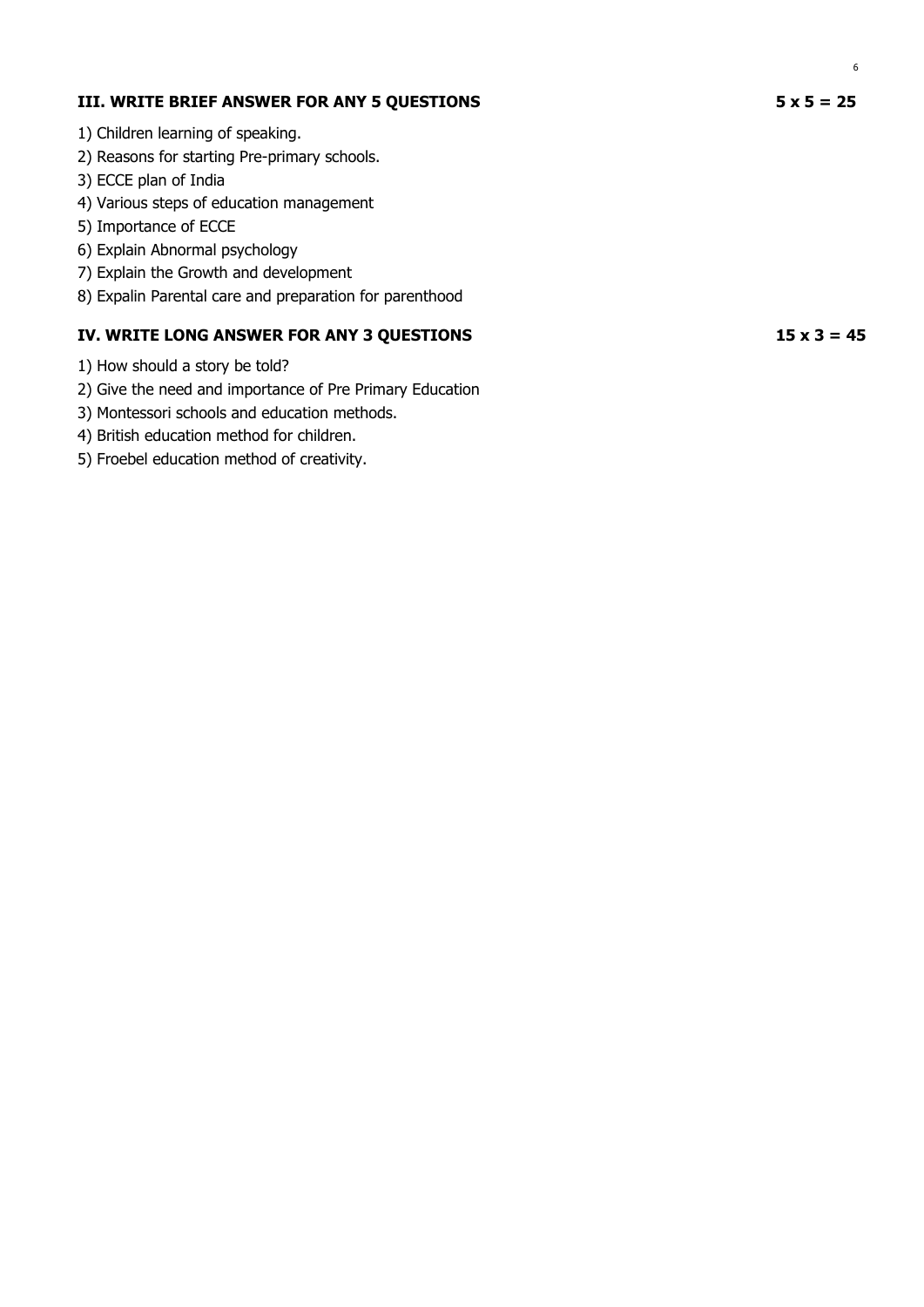- 1) Children learning of speaking.
- 2) Reasons for starting Pre-primary schools.
- 3) ECCE plan of India
- 4) Various steps of education management
- 5) Importance of ECCE
- 6) Explain Abnormal psychology
- 7) Explain the Growth and development
- 8) Expalin Parental care and preparation for parenthood

- 1) How should a story be told?
- 2) Give the need and importance of Pre Primary Education
- 3) Montessori schools and education methods.
- 4) British education method for children.
- 5) Froebel education method of creativity.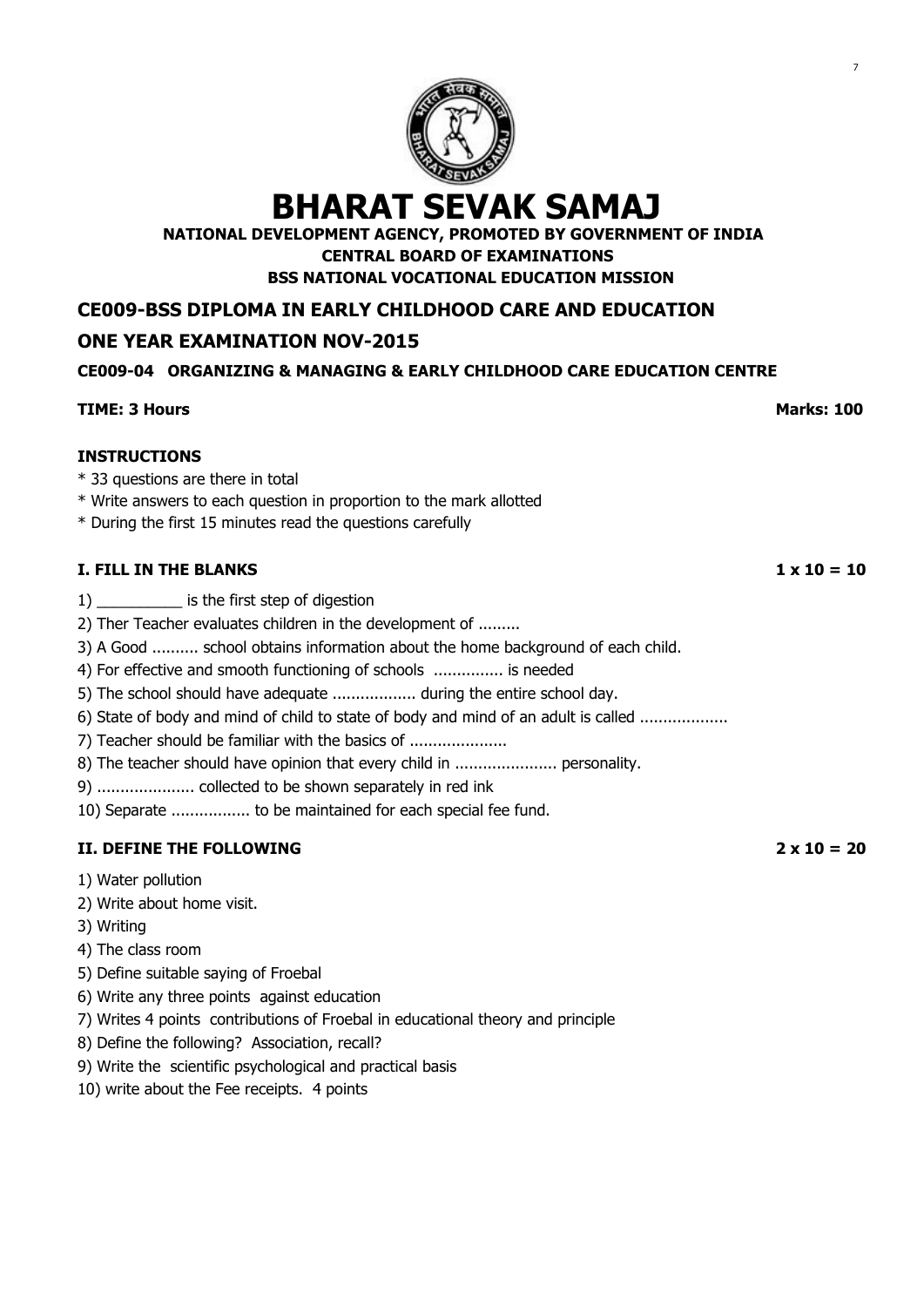

**NATIONAL DEVELOPMENT AGENCY, PROMOTED BY GOVERNMENT OF INDIA CENTRAL BOARD OF EXAMINATIONS**

**BSS NATIONAL VOCATIONAL EDUCATION MISSION**

**CE009-BSS DIPLOMA IN EARLY CHILDHOOD CARE AND EDUCATION**

# **ONE YEAR EXAMINATION NOV-2015**

# **CE009-04 ORGANIZING & MANAGING & EARLY CHILDHOOD CARE EDUCATION CENTRE**

## **TIME: 3 Hours Marks: 100**

**INSTRUCTIONS**

- \* 33 questions are there in total
- \* Write answers to each question in proportion to the mark allotted
- \* During the first 15 minutes read the questions carefully

## **I. FILL IN THE BLANKS 1 x 10 = 10**

- 1) \_\_\_\_\_\_\_\_\_\_ is the first step of digestion
- 2) Ther Teacher evaluates children in the development of .........
- 3) A Good .......... school obtains information about the home background of each child.
- 4) For effective and smooth functioning of schools ............... is needed
- 5) The school should have adequate .................. during the entire school day.
- 6) State of body and mind of child to state of body and mind of an adult is called ...................
- 7) Teacher should be familiar with the basics of ......................
- 8) The teacher should have opinion that every child in ........................ personality.
- 9) ..................... collected to be shown separately in red ink
- 10) Separate ................. to be maintained for each special fee fund.

# **II. DEFINE THE FOLLOWING 2 x 10 = 20**

- 1) Water pollution
- 2) Write about home visit.
- 3) Writing
- 4) The class room
- 5) Define suitable saying of Froebal
- 6) Write any three points against education
- 7) Writes 4 points contributions of Froebal in educational theory and principle
- 8) Define the following? Association, recall?
- 9) Write the scientific psychological and practical basis
- 10) write about the Fee receipts. 4 points